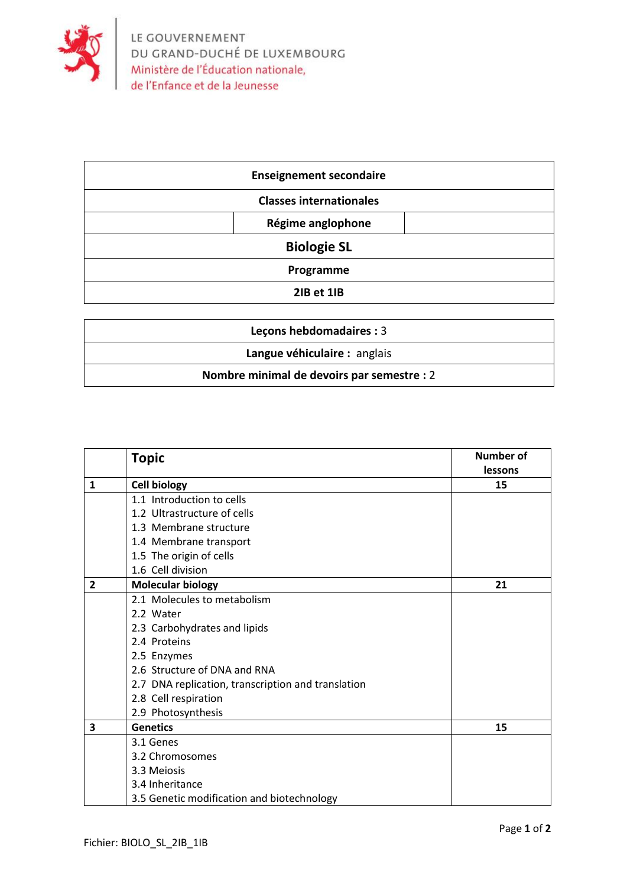

| <b>Enseignement secondaire</b> |  |
|--------------------------------|--|
| <b>Classes internationales</b> |  |
| Régime anglophone              |  |
| <b>Biologie SL</b>             |  |
| Programme                      |  |
| 2IB et 1IB                     |  |

| <b>Lecons hebdomadaires: 3</b>             |  |  |
|--------------------------------------------|--|--|
| Langue véhiculaire : anglais               |  |  |
| Nombre minimal de devoirs par semestre : 2 |  |  |

|                         | <b>Topic</b>                                       | Number of |
|-------------------------|----------------------------------------------------|-----------|
|                         |                                                    | lessons   |
| $\mathbf{1}$            | <b>Cell biology</b>                                | 15        |
|                         | 1.1 Introduction to cells                          |           |
|                         | 1.2 Ultrastructure of cells                        |           |
|                         | 1.3 Membrane structure                             |           |
|                         | 1.4 Membrane transport                             |           |
|                         | 1.5 The origin of cells                            |           |
|                         | 1.6 Cell division                                  |           |
| $\overline{2}$          | <b>Molecular biology</b>                           | 21        |
|                         | 2.1 Molecules to metabolism                        |           |
|                         | 2.2 Water                                          |           |
|                         | 2.3 Carbohydrates and lipids                       |           |
|                         | 2.4 Proteins                                       |           |
|                         | 2.5 Enzymes                                        |           |
|                         | 2.6 Structure of DNA and RNA                       |           |
|                         | 2.7 DNA replication, transcription and translation |           |
|                         | 2.8 Cell respiration                               |           |
|                         | 2.9 Photosynthesis                                 |           |
| $\overline{\mathbf{3}}$ | <b>Genetics</b>                                    | 15        |
|                         | 3.1 Genes                                          |           |
|                         | 3.2 Chromosomes                                    |           |
|                         | 3.3 Meiosis                                        |           |
|                         | 3.4 Inheritance                                    |           |
|                         | 3.5 Genetic modification and biotechnology         |           |